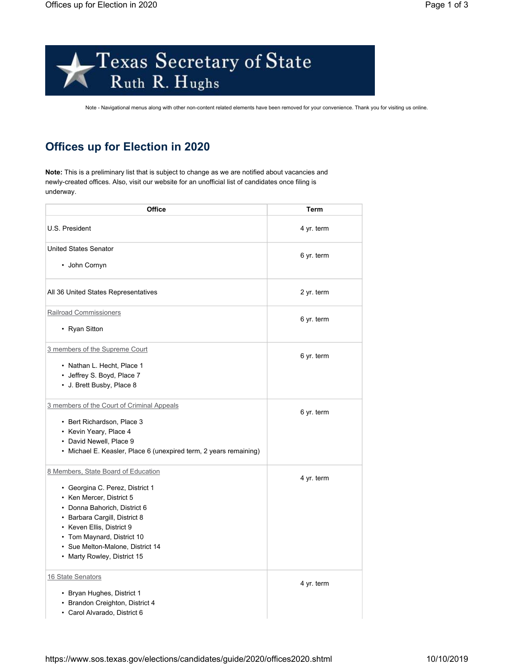



Note - Navigational menus along with other non-content related elements have been removed for your convenience. Thank you for visiting us online.

## **Offices up for Election in 2020**

**Note:** This is a preliminary list that is subject to change as we are notified about vacancies and newly-created offices. Also, visit our website for an unofficial list of candidates once filing is underway.

| Office                                                            | Term       |
|-------------------------------------------------------------------|------------|
| U.S. President                                                    | 4 yr. term |
| <b>United States Senator</b>                                      | 6 yr. term |
| • John Cornyn                                                     |            |
| All 36 United States Representatives                              | 2 yr. term |
| <b>Railroad Commissioners</b>                                     |            |
| • Ryan Sitton                                                     | 6 yr. term |
| 3 members of the Supreme Court                                    | 6 yr. term |
| • Nathan L. Hecht, Place 1                                        |            |
| • Jeffrey S. Boyd, Place 7                                        |            |
| • J. Brett Busby, Place 8                                         |            |
| 3 members of the Court of Criminal Appeals                        |            |
| • Bert Richardson, Place 3                                        | 6 yr. term |
| • Kevin Yeary, Place 4                                            |            |
| • David Newell, Place 9                                           |            |
| • Michael E. Keasler, Place 6 (unexpired term, 2 years remaining) |            |
| 8 Members, State Board of Education                               | 4 yr. term |
| • Georgina C. Perez, District 1                                   |            |
| • Ken Mercer, District 5                                          |            |
| • Donna Bahorich, District 6                                      |            |
| • Barbara Cargill, District 8                                     |            |
| • Keven Ellis, District 9                                         |            |
| • Tom Maynard, District 10                                        |            |
| • Sue Melton-Malone, District 14                                  |            |
| • Marty Rowley, District 15                                       |            |
| 16 State Senators                                                 | 4 yr. term |
| • Bryan Hughes, District 1                                        |            |
| • Brandon Creighton, District 4                                   |            |
| · Carol Alvarado, District 6                                      |            |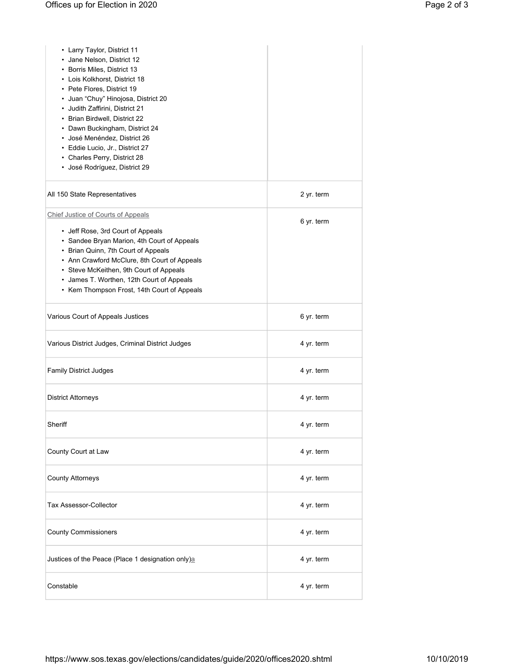| • Larry Taylor, District 11<br>• Jane Nelson, District 12<br>• Borris Miles, District 13<br>• Lois Kolkhorst, District 18<br>• Pete Flores, District 19<br>• Juan "Chuy" Hinojosa, District 20<br>• Judith Zaffirini, District 21<br>• Brian Birdwell, District 22<br>• Dawn Buckingham, District 24<br>· José Menéndez, District 26<br>• Eddie Lucio, Jr., District 27<br>• Charles Perry, District 28<br>· José Rodríguez, District 29 |            |
|------------------------------------------------------------------------------------------------------------------------------------------------------------------------------------------------------------------------------------------------------------------------------------------------------------------------------------------------------------------------------------------------------------------------------------------|------------|
| All 150 State Representatives                                                                                                                                                                                                                                                                                                                                                                                                            | 2 yr. term |
| Chief Justice of Courts of Appeals<br>• Jeff Rose, 3rd Court of Appeals<br>• Sandee Bryan Marion, 4th Court of Appeals<br>• Brian Quinn, 7th Court of Appeals<br>• Ann Crawford McClure, 8th Court of Appeals<br>• Steve McKeithen, 9th Court of Appeals<br>• James T. Worthen, 12th Court of Appeals<br>• Kem Thompson Frost, 14th Court of Appeals                                                                                     | 6 yr. term |
| Various Court of Appeals Justices                                                                                                                                                                                                                                                                                                                                                                                                        | 6 yr. term |
| Various District Judges, Criminal District Judges                                                                                                                                                                                                                                                                                                                                                                                        | 4 yr. term |
| <b>Family District Judges</b>                                                                                                                                                                                                                                                                                                                                                                                                            | 4 yr. term |
| <b>District Attorneys</b>                                                                                                                                                                                                                                                                                                                                                                                                                | 4 yr. term |
| Sheriff                                                                                                                                                                                                                                                                                                                                                                                                                                  | 4 yr. term |
| County Court at Law                                                                                                                                                                                                                                                                                                                                                                                                                      | 4 yr. term |
| <b>County Attorneys</b>                                                                                                                                                                                                                                                                                                                                                                                                                  | 4 yr. term |
| Tax Assessor-Collector                                                                                                                                                                                                                                                                                                                                                                                                                   | 4 yr. term |
| <b>County Commissioners</b>                                                                                                                                                                                                                                                                                                                                                                                                              | 4 yr. term |
| Justices of the Peace (Place 1 designation only)a                                                                                                                                                                                                                                                                                                                                                                                        | 4 yr. term |
| Constable                                                                                                                                                                                                                                                                                                                                                                                                                                | 4 yr. term |